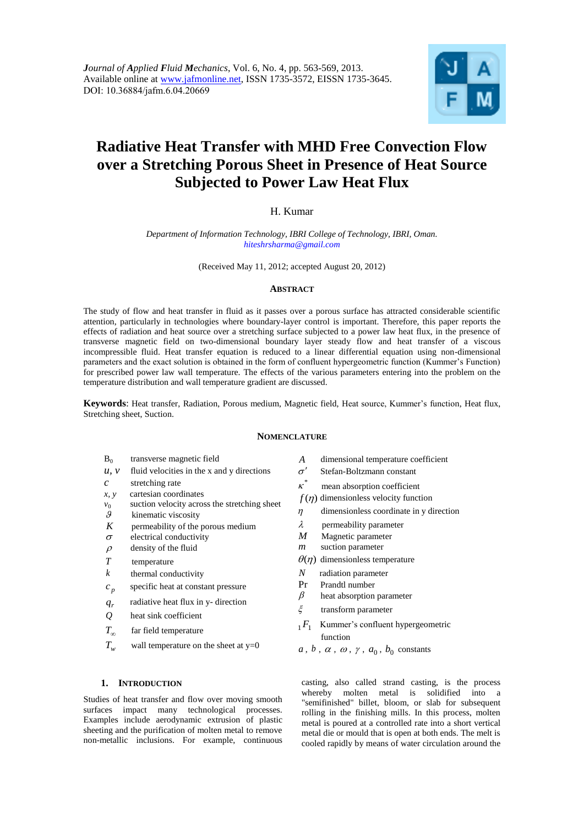

# **Radiative Heat Transfer with MHD Free Convection Flow over a Stretching Porous Sheet in Presence of Heat Source Subjected to Power Law Heat Flux**

# H. Kumar

*Department of Information Technology, IBRI College of Technology, IBRI, Oman. hiteshrsharma@gmail.com* 

(Received May 11, 2012; accepted August 20, 2012)

## **ABSTRACT**

The study of flow and heat transfer in fluid as it passes over a porous surface has attracted considerable scientific attention, particularly in technologies where boundary-layer control is important. Therefore, this paper reports the effects of radiation and heat source over a stretching surface subjected to a power law heat flux, in the presence of transverse magnetic field on two-dimensional boundary layer steady flow and heat transfer of a viscous incompressible fluid. Heat transfer equation is reduced to a linear differential equation using non-dimensional parameters and the exact solution is obtained in the form of confluent hypergeometric function (Kummer's Function) for prescribed power law wall temperature. The effects of the various parameters entering into the problem on the temperature distribution and wall temperature gradient are discussed.

**Keywords**: Heat transfer, Radiation, Porous medium, Magnetic field, Heat source, Kummer's function, Heat flux, Stretching sheet, Suction.

## **NOMENCLATURE**

- $B_0$ transverse magnetic field
- $u, v$  fluid velocities in the x and y directions
- *c* stretching rate
- *x, y* cartesian coordinates
- $v_0$  suction velocity across the stretching sheet  $\theta$  kinematic viscosity
- kinematic viscosity
- *K* permeability of the porous medium
- $\sigma$  electrical conductivity
- $\rho$  density of the fluid
- *T* temperature
- *k* thermal conductivity
- $c_p$ *c* specific heat at constant pressure
- *qr* radiative heat flux in y- direction
- *Q* heat sink coefficient
- $T_{\infty}$ far field temperature
- $T_w$ wall temperature on the sheet at  $y=0$
- *A* dimensional temperature coefficient
- $\sigma'$  Stefan-Boltzmann constant
- $\kappa^*$ mean absorption coefficient
- $f(\eta)$  dimensionless velocity function
- $\eta$  dimensionless coordinate in y direction
- $\lambda$  permeability parameter
- *M* Magnetic parameter
- *m* suction parameter
- $\theta(\eta)$  dimensionless temperature
- *N* radiation parameter
- Pr Prandtl number<br> $\beta$  heat absorption
- heat absorption parameter
- $\xi$  transform parameter
- <sup>1</sup>*F*<sup>1</sup> Kummer's confluent hypergeometric function
- $a, b, \alpha, \omega, \gamma, a_0, b_0$  constants

## **1. INTRODUCTION**

Studies of heat transfer and flow over moving smooth surfaces impact many technological processes. Examples include aerodynamic extrusion of plastic sheeting and the purification of molten metal to remove non-metallic inclusions. For example, continuous casting, also called strand casting, is the process whereby molten metal is solidified into a "semifinished" billet, bloom, or slab for subsequent rolling in the finishing mills. In this process, molten metal is poured at a controlled rate into a short vertical metal die or mould that is open at both ends. The melt is cooled rapidly by means of water circulation around the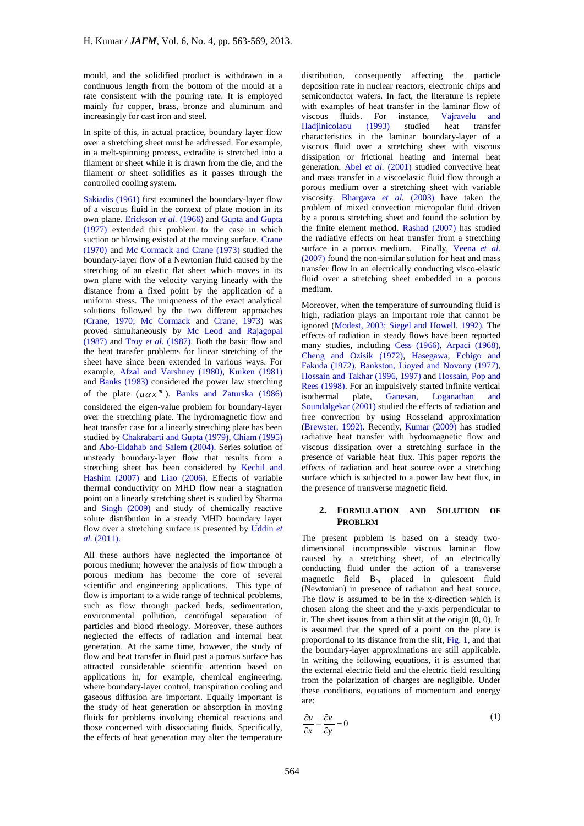mould, and the solidified product is withdrawn in a continuous length from the bottom of the mould at a rate consistent with the pouring rate. It is employed mainly for copper, brass, bronze and aluminum and increasingly for cast iron and steel.

In spite of this, in actual practice, boundary layer flow over a stretching sheet must be addressed. For example, in a melt-spinning process, extradite is stretched into a filament or sheet while it is drawn from the die, and the filament or sheet solidifies as it passes through the controlled cooling system.

Sakiadis (1961) first examined the boundary-layer flow of a viscous fluid in the context of plate motion in its own plane. Erickson *et al.* (1966) and Gupta and Gupta (1977) extended this problem to the case in which suction or blowing existed at the moving surface. Crane (1970) and Mc Cormack and Crane (1973) studied the boundary-layer flow of a Newtonian fluid caused by the stretching of an elastic flat sheet which moves in its own plane with the velocity varying linearly with the distance from a fixed point by the application of a uniform stress. The uniqueness of the exact analytical solutions followed by the two different approaches (Crane, 1970; Mc Cormack and Crane, 1973) was proved simultaneously by Mc Leod and Rajagopal (1987) and Troy *et al.* (1987). Both the basic flow and the heat transfer problems for linear stretching of the sheet have since been extended in various ways. For example, Afzal and Varshney (1980), Kuiken (1981) and Banks (1983) considered the power law stretching of the plate  $(u\alpha x^m)$ . Banks and Zaturska (1986) considered the eigen-value problem for boundary-layer over the stretching plate. The hydromagnetic flow and heat transfer case for a linearly stretching plate has been studied by Chakrabarti and Gupta (1979), Chiam (1995) and Abo-Eldahab and Salem (2004). Series solution of unsteady boundary-layer flow that results from a stretching sheet has been considered by Kechil and Hashim (2007) and Liao (2006). Effects of variable thermal conductivity on MHD flow near a stagnation point on a linearly stretching sheet is studied by Sharma and Singh (2009) and study of chemically reactive solute distribution in a steady MHD boundary layer flow over a stretching surface is presented by Uddin *et al.* (2011).

All these authors have neglected the importance of porous medium; however the analysis of flow through a porous medium has become the core of several scientific and engineering applications. This type of flow is important to a wide range of technical problems, such as flow through packed beds, sedimentation, environmental pollution, centrifugal separation of particles and blood rheology. Moreover, these authors neglected the effects of radiation and internal heat generation. At the same time, however, the study of flow and heat transfer in fluid past a porous surface has attracted considerable scientific attention based on applications in, for example, chemical engineering, where boundary-layer control, transpiration cooling and gaseous diffusion are important. Equally important is the study of heat generation or absorption in moving fluids for problems involving chemical reactions and those concerned with dissociating fluids. Specifically, the effects of heat generation may alter the temperature

distribution, consequently affecting the particle deposition rate in nuclear reactors, electronic chips and semiconductor wafers. In fact, the literature is replete with examples of heat transfer in the laminar flow of viscous fluids. For instance, Vajravelu and Hadjinicolaou (1993) studied heat transfer characteristics in the laminar boundary-layer of a viscous fluid over a stretching sheet with viscous dissipation or frictional heating and internal heat generation. Abel *et al.* (2001) studied convective heat and mass transfer in a viscoelastic fluid flow through a porous medium over a stretching sheet with variable viscosity. Bhargava *et al.* (2003) have taken the problem of mixed convection micropolar fluid driven by a porous stretching sheet and found the solution by the finite element method. Rashad (2007) has studied the radiative effects on heat transfer from a stretching surface in a porous medium. Finally, Veena *et al.* (2007) found the non-similar solution for heat and mass transfer flow in an electrically conducting visco-elastic fluid over a stretching sheet embedded in a porous medium.

Moreover, when the temperature of surrounding fluid is high, radiation plays an important role that cannot be ignored (Modest, 2003; Siegel and Howell, 1992). The effects of radiation in steady flows have been reported many studies, including Cess (1966), Arpaci (1968), Cheng and Ozisik (1972), Hasegawa, Echigo and Fakuda (1972), Bankston, Lioyed and Novony (1977), Hossain and Takhar (1996, 1997) and Hossain, Pop and Rees (1998). For an impulsively started infinite vertical isothermal plate, Ganesan, Loganathan and Soundalgekar (2001) studied the effects of radiation and free convection by using Rosseland approximation (Brewster, 1992). Recently, Kumar (2009) has studied radiative heat transfer with hydromagnetic flow and viscous dissipation over a stretching surface in the presence of variable heat flux. This paper reports the effects of radiation and heat source over a stretching surface which is subjected to a power law heat flux, in the presence of transverse magnetic field.

## **2. FORMULATION AND SOLUTION OF PROBLRM**

The present problem is based on a steady twodimensional incompressible viscous laminar flow caused by a stretching sheet, of an electrically conducting fluid under the action of a transverse magnetic field  $B_0$ , placed in quiescent fluid (Newtonian) in presence of radiation and heat source. The flow is assumed to be in the x-direction which is chosen along the sheet and the y-axis perpendicular to it. The sheet issues from a thin slit at the origin (0, 0). It is assumed that the speed of a point on the plate is proportional to its distance from the slit, Fig. 1, and that the boundary-layer approximations are still applicable. In writing the following equations, it is assumed that the external electric field and the electric field resulting from the polarization of charges are negligible. Under these conditions, equations of momentum and energy are:

$$
\frac{\partial u}{\partial x} + \frac{\partial v}{\partial y} = 0 \tag{1}
$$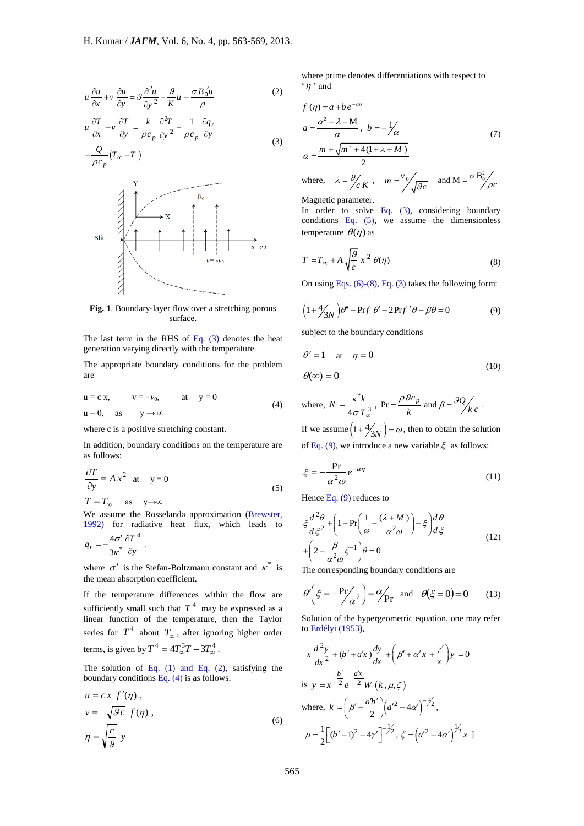$$
u\frac{\partial u}{\partial x} + v\frac{\partial u}{\partial y} = \mathcal{G}\frac{\partial^2 u}{\partial y^2} - \frac{\mathcal{G}}{K}u - \frac{\sigma B_0^2 u}{\rho}
$$
 (2)

$$
u \frac{\partial T}{\partial x} + v \frac{\partial T}{\partial y} = \frac{k}{\rho c_p} \frac{\partial^2 T}{\partial y^2} - \frac{1}{\rho c_p} \frac{\partial q_r}{\partial y}
$$
  
+ 
$$
\frac{Q}{\rho c_q} (T_\infty - T)
$$
 (3)



**Fig. 1**. Boundary-layer flow over a stretching porous surface.

The last term in the RHS of Eq.  $(3)$  denotes the heat generation varying directly with the temperature.

The appropriate boundary conditions for the problem are

$$
u = c x, \qquad v = -v_0, \qquad at \qquad y = 0
$$
  
 
$$
u = 0, \quad as \qquad y \to \infty
$$
 (4)

where c is a positive stretching constant.

In addition, boundary conditions on the temperature are as follows:

$$
\frac{\partial T}{\partial y} = Ax^2 \text{ at } y = 0
$$
  
\n
$$
T = T_{\infty} \text{ as } y \to \infty
$$
\n(5)

We assume the Rosselanda approximation (Brewster, 1992) for radiative heat flux, which leads to

$$
q_r = -\frac{4\sigma'}{3\kappa^*} \frac{\partial T^4}{\partial y}.
$$

where  $\sigma'$  is the Stefan-Boltzmann constant and  $\kappa^*$  is the mean absorption coefficient.

If the temperature differences within the flow are sufficiently small such that  $T<sup>4</sup>$  may be expressed as a linear function of the temperature, then the Taylor series for  $T^4$  about  $T_{\infty}$ , after ignoring higher order terms, is given by  $T^4 = 4T_{\infty}^3 T - 3T_{\infty}^4$ .

The solution of Eq.  $(1)$  and Eq.  $(2)$ , satisfying the boundary conditions Eq. (4) is as follows:

$$
u = c x f'(\eta) ,
$$
  
\n
$$
v = -\sqrt{9c} f(\eta) ,
$$
  
\n
$$
\eta = \sqrt{\frac{c}{9}} y
$$
 (6)

where prime denotes differentiations with respect to  $\lq$   $\eta$   $\lq$  and

$$
f(\eta) = a + be^{-\alpha \eta}
$$
  
\n
$$
a = \frac{\alpha^2 - \lambda - M}{\alpha}, \quad b = -\frac{1}{\alpha}
$$
  
\n
$$
\alpha = \frac{m + \sqrt{m^2 + 4(1 + \lambda + M)}}{2}
$$
  
\nwhere,  $\lambda = \frac{9}{c}K$ ,  $m = \frac{v_0}{\sqrt{gc}}$  and  $M = \frac{\sigma B_0^2}{\rho c}$ 

Magnetic parameter.

In order to solve Eq.  $(3)$ , considering boundary conditions Eq. (5), we assume the dimensionless temperature  $\theta(\eta)$  as

$$
T = T_{\infty} + A \sqrt{\frac{g}{c}} x^2 \theta(\eta)
$$
 (8)

On using Eqs.  $(6)-(8)$ , Eq.  $(3)$  takes the following form:

$$
(1 + \frac{4}{3N})\theta'' + Prf \theta' - 2Prf' \theta - \beta\theta = 0
$$
 (9)

subject to the boundary conditions

$$
\theta' = 1 \quad \text{at} \quad \eta = 0
$$
  

$$
\theta(\infty) = 0 \tag{10}
$$

where, 
$$
N = \frac{\kappa^* k}{4 \sigma T_o^3}
$$
,  $Pr = \frac{\rho \theta c_p}{k}$  and  $\beta = \frac{\theta Q}{k c}$ .

If we assume  $\left(1+\frac{4}{3N}\right) = \omega$ , then to obtain the solution of Eq. (9), we introduce a new variable  $\xi$  as follows:

$$
\xi = -\frac{\text{Pr}}{\alpha^2 \omega} e^{-\alpha \eta} \tag{11}
$$

Hence Eq.  $(9)$  reduces to

$$
\xi \frac{d^2 \theta}{d \xi^2} + \left(1 - \Pr\left(\frac{1}{\omega} - \frac{(\lambda + M)}{\alpha^2 \omega}\right) - \xi\right) \frac{d\theta}{d \xi}
$$
  
+ 
$$
\left(2 - \frac{\beta}{\alpha^2 \omega} \xi^{-1}\right) \theta = 0
$$
 (12)

The corresponding boundary conditions are

$$
\theta' \left( \xi = -\frac{\Pr}{\alpha^2} \right) = \frac{\alpha}{\Pr} \text{ and } \theta(\xi = 0) = 0 \quad (13)
$$

Solution of the hypergeometric equation, one may refer to Erdélyi (1953),

$$
x \frac{d^2 y}{dx^2} + (b' + a'x) \frac{dy}{dx} + \left(\beta' + \alpha' x + \frac{\gamma'}{x}\right) y = 0
$$
  
is  $y = x^{-\frac{b'}{2}} e^{-\frac{dx}{2}} W(k, \mu, \zeta)$   
where,  $k = \left(\beta' - \frac{a'b'}{2}\right) \left(a'^2 - 4\alpha'\right)^{-\frac{1}{2}},$   
 $\mu = \frac{1}{2} \left[\left(b' - 1\right)^2 - 4\gamma'\right]^{-\frac{1}{2}}, \zeta = \left(a'^2 - 4\alpha'\right)^{\frac{1}{2}} x$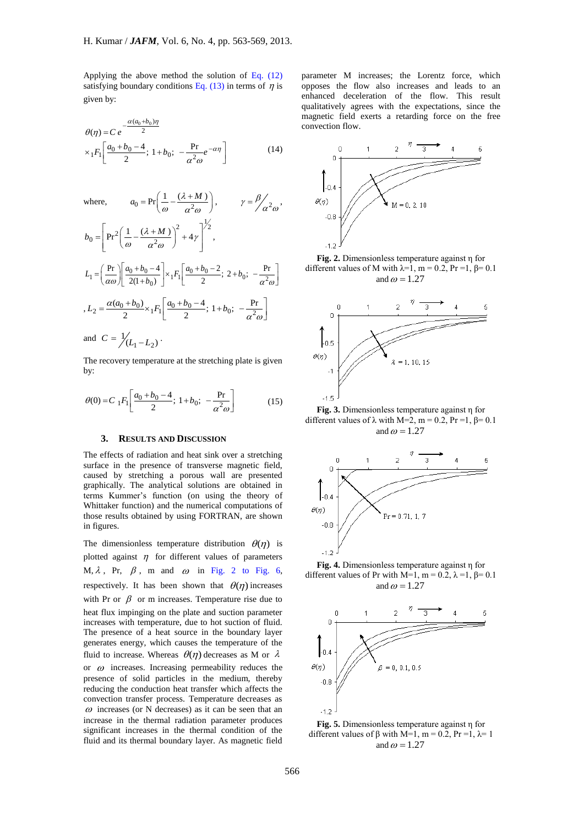Applying the above method the solution of Eq. (12) satisfying boundary conditions Eq. (13) in terms of  $\eta$  is given by:

$$
\theta(\eta) = C e^{-\frac{\alpha(a_0 + b_0)\eta}{2}}
$$
  
 
$$
\times {}_1F_1 \left[ \frac{a_0 + b_0 - 4}{2}; 1 + b_0; -\frac{\text{Pr}}{\alpha^2 \omega} e^{-\alpha \eta} \right]
$$
 (14)

where,  
\n
$$
a_0 = Pr\left(\frac{1}{\omega} - \frac{(\lambda + M)}{\alpha^2 \omega}\right), \qquad \gamma = \frac{\beta}{\alpha^2 \omega},
$$
\n
$$
b_0 = \left[Pr^2\left(\frac{1}{\omega} - \frac{(\lambda + M)}{\alpha^2 \omega}\right)^2 + 4\gamma\right]^{1/2},
$$
\n
$$
L_1 = \left(\frac{Pr}{\alpha \omega}\right) \left[\frac{a_0 + b_0 - 4}{2(1 + b_0)}\right] \times {}_1F_1\left[\frac{a_0 + b_0 - 2}{2}; 2 + b_0; -\frac{Pr}{\alpha^2 \omega}\right]
$$
\n
$$
, L_2 = \frac{\alpha(a_0 + b_0)}{2} \times {}_1F_1\left[\frac{a_0 + b_0 - 4}{2}; 1 + b_0; -\frac{Pr}{\alpha^2 \omega}\right]
$$
\nand 
$$
C = \frac{1}{2}(L_1 - L_2).
$$

The recovery temperature at the stretching plate is given by:

$$
\theta(0) = C_1 F_1 \left[ \frac{a_0 + b_0 - 4}{2}; \ 1 + b_0; \ -\frac{\text{Pr}}{\alpha^2 \omega} \right] \tag{15}
$$

# **3. RESULTS AND DISCUSSION**

The effects of radiation and heat sink over a stretching surface in the presence of transverse magnetic field, caused by stretching a porous wall are presented graphically. The analytical solutions are obtained in terms Kummer's function (on using the theory of Whittaker function) and the numerical computations of those results obtained by using FORTRAN, are shown in figures.

The dimensionless temperature distribution  $\theta(\eta)$  is plotted against  $\eta$  for different values of parameters M,  $\lambda$ , Pr,  $\beta$ , m and  $\omega$  in Fig. 2 to Fig. 6, respectively. It has been shown that  $\theta(\eta)$  increases with Pr or  $\beta$  or m increases. Temperature rise due to heat flux impinging on the plate and suction parameter increases with temperature, due to hot suction of fluid. The presence of a heat source in the boundary layer generates energy, which causes the temperature of the fluid to increase. Whereas  $\theta(\eta)$  decreases as M or  $\lambda$ or  $\omega$  increases. Increasing permeability reduces the presence of solid particles in the medium, thereby reducing the conduction heat transfer which affects the convection transfer process. Temperature decreases as  $\omega$  increases (or N decreases) as it can be seen that an increase in the thermal radiation parameter produces significant increases in the thermal condition of the fluid and its thermal boundary layer. As magnetic field

parameter M increases; the Lorentz force, which opposes the flow also increases and leads to an enhanced deceleration of the flow. This result qualitatively agrees with the expectations, since the magnetic field exerts a retarding force on the free convection flow.



**Fig. 2.** Dimensionless temperature against η for different values of M with  $\lambda=1$ , m = 0.2, Pr = 1,  $\beta$ = 0.1 and  $\omega = 1.27$ 



**Fig. 3.** Dimensionless temperature against η for different values of  $\lambda$  with M=2, m = 0.2, Pr =1,  $\beta$ = 0.1 and  $\omega = 1.27$ 



**Fig. 4.** Dimensionless temperature against η for different values of Pr with M=1, m = 0.2,  $\lambda$  =1,  $\beta$ = 0.1 and  $\omega = 1.27$ 



**Fig. 5.** Dimensionless temperature against η for different values of  $\beta$  with M=1, m = 0.2, Pr =1,  $\lambda$ = 1 and  $\omega = 1.27$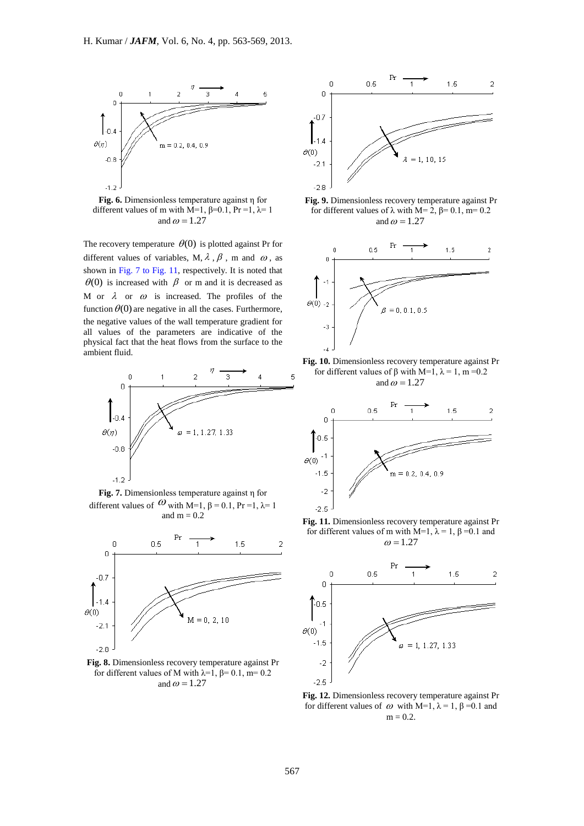

**Fig. 6.** Dimensionless temperature against η for different values of m with M=1,  $\beta$ =0.1, Pr =1,  $\lambda$ =1 and  $\omega = 1.27$ 

The recovery temperature  $\theta(0)$  is plotted against Pr for different values of variables, M,  $\lambda$ ,  $\beta$ , m and  $\omega$ , as shown in Fig. 7 to Fig. 11, respectively. It is noted that  $\theta(0)$  is increased with  $\beta$  or m and it is decreased as M or  $\lambda$  or  $\omega$  is increased. The profiles of the function  $\theta(0)$  are negative in all the cases. Furthermore, the negative values of the wall temperature gradient for all values of the parameters are indicative of the physical fact that the heat flows from the surface to the ambient fluid.



**Fig. 7.** Dimensionless temperature against η for different values of  $\omega$  with M=1,  $\beta$  = 0.1, Pr =1,  $\lambda$ = 1 and  $m = 0.2$ 



**Fig. 8.** Dimensionless recovery temperature against Pr for different values of M with  $\lambda = 1$ ,  $\beta = 0.1$ , m= 0.2 and  $\omega = 1.27$ 



**Fig. 9.** Dimensionless recovery temperature against Pr for different values of λ with M= 2, β= 0.1, m= 0.2 and  $\omega = 1.27$ 







**Fig. 11.** Dimensionless recovery temperature against Pr for different values of m with M=1,  $\lambda = 1$ ,  $\beta = 0.1$  and  $\omega = 1.27$ 



**Fig. 12.** Dimensionless recovery temperature against Pr for different values of  $ω$  with M=1,  $λ = 1$ ,  $β = 0.1$  and  $m = 0.2$ .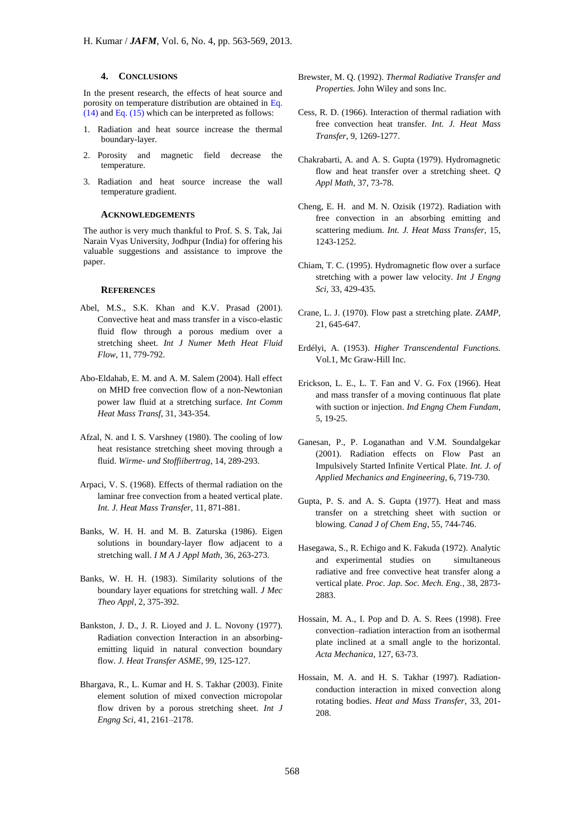#### **4. CONCLUSIONS**

In the present research, the effects of heat source and porosity on temperature distribution are obtained in Eq.  $(14)$  and Eq.  $(15)$  which can be interpreted as follows:

- 1. Radiation and heat source increase the thermal boundary-layer.
- 2. Porosity and magnetic field decrease the temperature.
- 3. Radiation and heat source increase the wall temperature gradient.

#### **ACKNOWLEDGEMENTS**

The author is very much thankful to Prof. S. S. Tak, Jai Narain Vyas University, Jodhpur (India) for offering his valuable suggestions and assistance to improve the paper.

#### **REFERENCES**

- Abel, M.S., S.K. Khan and K.V. Prasad (2001). Convective heat and mass transfer in a visco-elastic fluid flow through a porous medium over a stretching sheet. *Int J Numer Meth Heat Fluid Flow*, 11, 779-792.
- Abo-Eldahab, E. M. and A. M. Salem (2004). Hall effect on MHD free convection flow of a non-Newtonian power law fluid at a stretching surface. *Int Comm Heat Mass Transf,* 31, 343-354.
- Afzal, N. and I. S. Varshney (1980). The cooling of low heat resistance stretching sheet moving through a fluid. *Wirme- und Stoffiibertrag,* 14, 289-293.
- Arpaci, V. S. (1968). Effects of thermal radiation on the laminar free convection from a heated vertical plate. *Int. J. Heat Mass Transfer,* 11, 871-881.
- Banks, W. H. H. and M. B. Zaturska (1986). Eigen solutions in boundary-layer flow adjacent to a stretching wall. *I M A J Appl Math,* 36, 263-273.
- Banks, W. H. H. (1983). Similarity solutions of the boundary layer equations for stretching wall. *J Mec Theo Appl,* 2, 375-392.
- Bankston, J. D., J. R. Lioyed and J. L. Novony (1977). Radiation convection Interaction in an absorbingemitting liquid in natural convection boundary flow. *J. Heat Transfer ASME,* 99, 125-127.
- Bhargava, R., L. Kumar and H. S. Takhar (2003). Finite element solution of mixed convection micropolar flow driven by a porous stretching sheet. *Int J Engng Sci,* 41, 2161–2178.
- Brewster, M. Q. (1992). *Thermal Radiative Transfer and Properties.* John Wiley and sons Inc.
- Cess, R. D. (1966). Interaction of thermal radiation with free convection heat transfer. *Int. J. Heat Mass Transfer*, 9, 1269-1277.
- Chakrabarti, A. and A. S. Gupta (1979). Hydromagnetic flow and heat transfer over a stretching sheet. *Q Appl Math,* 37, 73-78.
- Cheng, E. H. and M. N. Ozisik (1972). Radiation with free convection in an absorbing emitting and scattering medium. *Int. J. Heat Mass Transfer,* 15, 1243-1252.
- Chiam, T. C. (1995). Hydromagnetic flow over a surface stretching with a power law velocity. *Int J Engng Sci,* 33, 429-435.
- Crane, L. J. (1970). Flow past a stretching plate. *ZAMP*, 21, 645-647.
- Erdélyi, A. (1953). *Higher Transcendental Functions.* Vol.1, Mc Graw-Hill Inc.
- Erickson, L. E., L. T. Fan and V. G. Fox (1966). Heat and mass transfer of a moving continuous flat plate with suction or injection. *Ind Engng Chem Fundam*, 5, 19-25.
- Ganesan, P., P. Loganathan and V.M. Soundalgekar (2001). Radiation effects on Flow Past an Impulsively Started Infinite Vertical Plate. *Int. J. of Applied Mechanics and Engineering,* 6, 719-730.
- Gupta, P. S. and A. S. Gupta (1977). Heat and mass transfer on a stretching sheet with suction or blowing. *Canad J of Chem Eng*, 55, 744-746.
- Hasegawa, S., R. Echigo and K. Fakuda (1972). Analytic and experimental studies on simultaneous radiative and free convective heat transfer along a vertical plate. *Proc. Jap. Soc. Mech. Eng.,* 38, 2873- 2883.
- Hossain, M. A., I. Pop and D. A. S. Rees (1998). Free convection–radiation interaction from an isothermal plate inclined at a small angle to the horizontal. *Acta Mechanica,* 127, 63-73.
- Hossain, M. A. and H. S. Takhar (1997). Radiationconduction interaction in mixed convection along rotating bodies. *Heat and Mass Transfer,* 33, 201- 208.